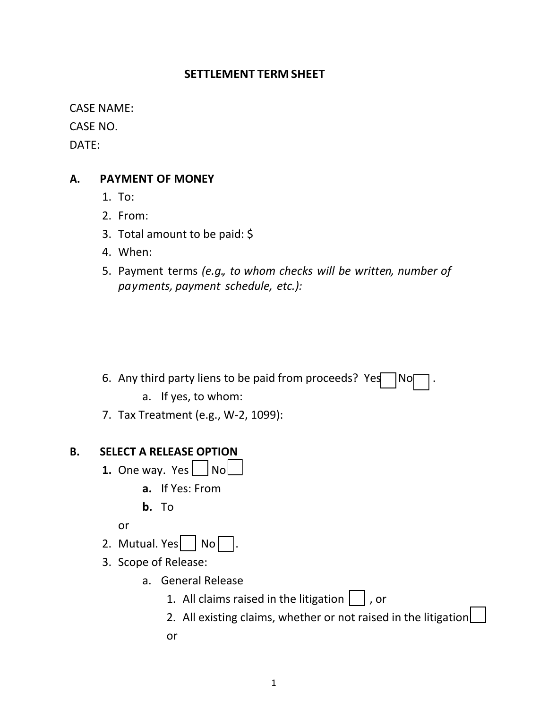#### **SETTLEMENT TERM SHEET**

CASE NAME:

CASE NO.

DATE:

### **A. PAYMENT OF MONEY**

- 1. To:
- 2. From:
- 3. Total amount to be paid: \$
- 4. When:
- 5. Payment terms *(e.g., to whom checks will be written, number of payments, payment schedule, etc.):*

- 6. Any third party liens to be paid from proceeds? Yes $\Box$ No
	- a. If yes, to whom:
- 7. Tax Treatment (e.g., W-2, 1099):

#### **B. SELECT A RELEASE OPTION**

- **1.** One way. Yes  $\vert$   $\vert$  No  $\vert$ 
	- **a.** If Yes: From
	- **b.** To
	- or
- 2. Mutual. Yes $\Box$  No  $\Box$
- 3. Scope of Release:
	- a. General Release
		- 1. All claims raised in the litigation  $\vert \ \vert$ , or
		- 2. All existing claims, whether or not raised in the litigation $\Box$
		- or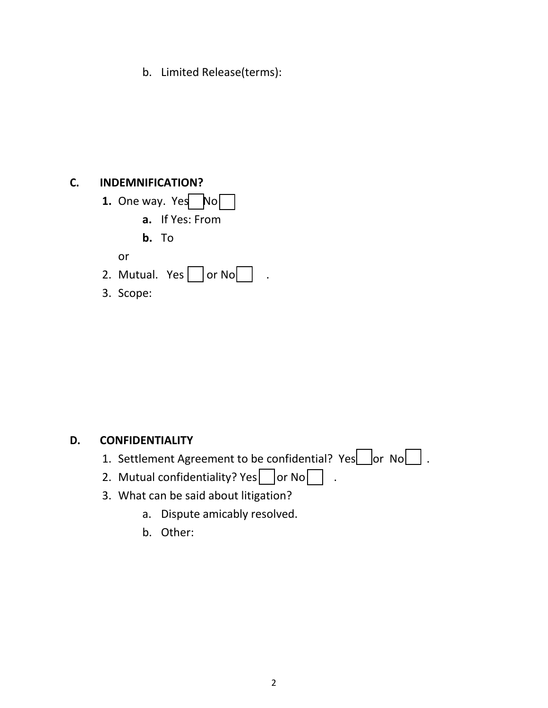b. Limited Release(terms):

### **C. INDEMNIFICATION?**

- **1.** One way. Yes No **a.** If Yes: From **b.** To or 2. Mutual. Yes  $\Box$  or No
- 3. Scope:

### **D. CONFIDENTIALITY**

- 1. Settlement Agreement to be confidential?  $Yes$  or No  $\Box$ .
- 2. Mutual confidentiality? Yes or No  $\Box$ .
- 3. What can be said about litigation?
	- a. Dispute amicably resolved.
	- b. Other: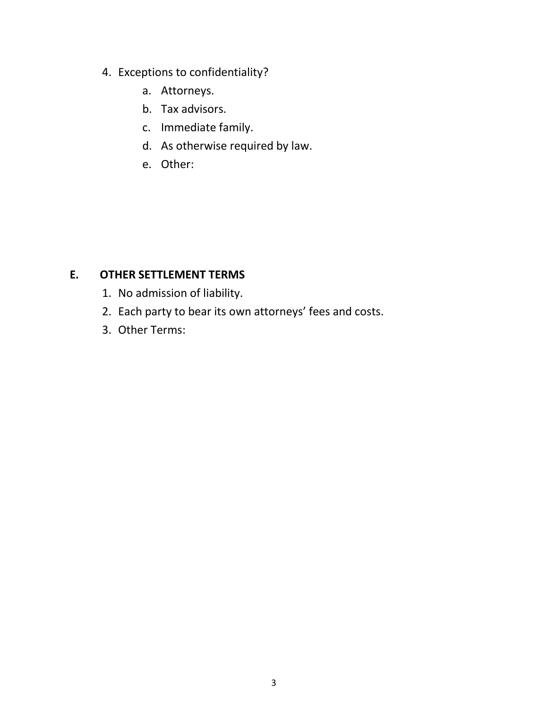- 4. Exceptions to confidentiality?
	- a. Attorneys.
	- b. Tax advisors.
	- c. Immediate family.
	- d. As otherwise required by law.
	- e. Other:

## **E. OTHER SETTLEMENT TERMS**

- 1. No admission of liability.
- 2. Each party to bear its own attorneys' fees and costs.
- 3. Other Terms: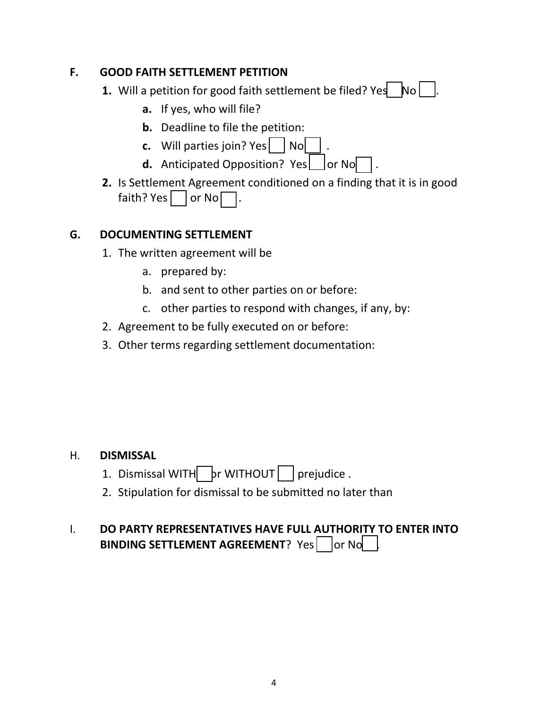## **F. GOOD FAITH SETTLEMENT PETITION**

- **1.** Will a petition for good faith settlement be filed? Yes  $\begin{bmatrix} N_0 \end{bmatrix}$ .
	- **a.** If yes, who will file?
	- **b.** Deadline to file the petition:
	- **c.** Will parties join? Yes  $|$   $|$  No  $|$
	- **d.** Anticipated Opposition? Yes  $\Box$  or No
- **2.** Is Settlement Agreement conditioned on a finding that it is in good faith? Yes  $|$  or No  $\Box$ .

## **G. DOCUMENTING SETTLEMENT**

- 1. The written agreement will be
	- a. prepared by:
	- b. and sent to other parties on or before:
	- c. other parties to respond with changes, if any, by:
- 2. Agreement to be fully executed on or before:
- 3. Other terms regarding settlement documentation:

## H. **DISMISSAL**

- 1. Dismissal WITH $\Box$ pr WITHOUT $\Box$  prejudice .
- 2. Stipulation for dismissal to be submitted no later than

# I. **DO PARTY REPRESENTATIVES HAVE FULL AUTHORITY TO ENTER INTO BINDING SETTLEMENT AGREEMENT**? Yes lor No